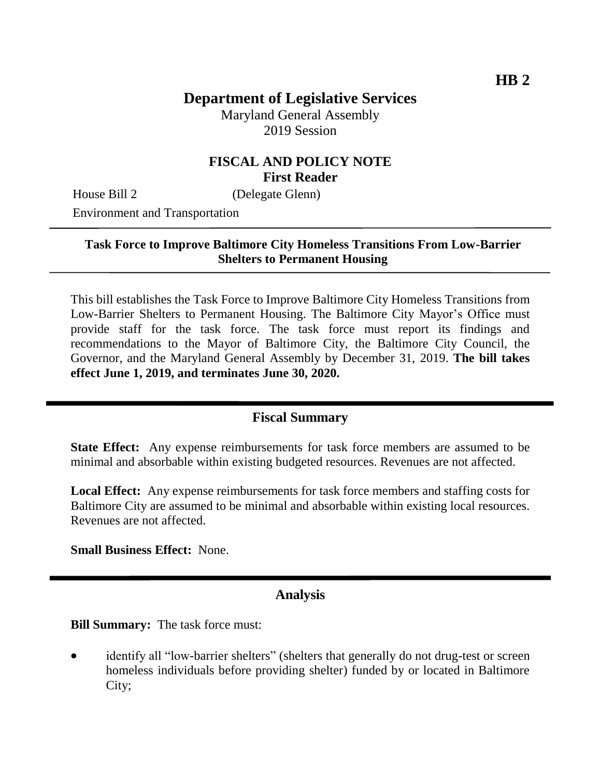# **Department of Legislative Services**

Maryland General Assembly 2019 Session

# **FISCAL AND POLICY NOTE First Reader**

House Bill 2 (Delegate Glenn)

Environment and Transportation

## **Task Force to Improve Baltimore City Homeless Transitions From Low-Barrier Shelters to Permanent Housing**

This bill establishes the Task Force to Improve Baltimore City Homeless Transitions from Low-Barrier Shelters to Permanent Housing. The Baltimore City Mayor's Office must provide staff for the task force. The task force must report its findings and recommendations to the Mayor of Baltimore City, the Baltimore City Council, the Governor, and the Maryland General Assembly by December 31, 2019. **The bill takes effect June 1, 2019, and terminates June 30, 2020.**

#### **Fiscal Summary**

**State Effect:** Any expense reimbursements for task force members are assumed to be minimal and absorbable within existing budgeted resources. Revenues are not affected.

**Local Effect:** Any expense reimbursements for task force members and staffing costs for Baltimore City are assumed to be minimal and absorbable within existing local resources. Revenues are not affected.

**Small Business Effect:** None.

## **Analysis**

**Bill Summary:** The task force must:

• identify all "low-barrier shelters" (shelters that generally do not drug-test or screen homeless individuals before providing shelter) funded by or located in Baltimore City;